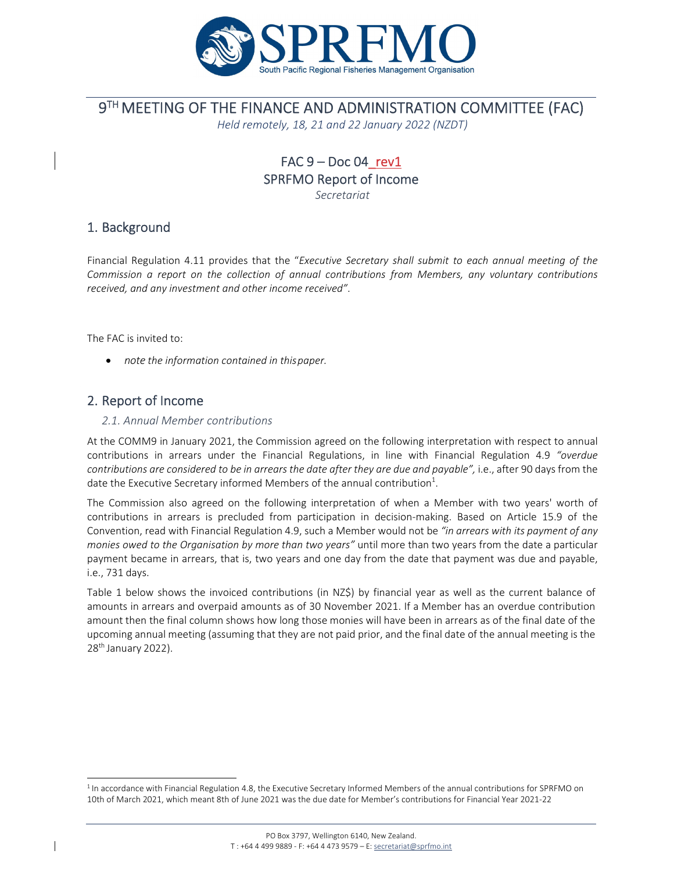

## 9TH MEETING OF THE FINANCE AND ADMINISTRATION COMMITTEE (FAC)

*Held remotely, 18, 21 and 22 January 2022 (NZDT)*

# FAC  $9 - Doc 04$  rev1 SPRFMO Report of Income

*Secretariat*

### 1. Background

Financial Regulation 4.11 provides that the "*Executive Secretary shall submit to each annual meeting of the Commission a report on the collection of annual contributions from Members, any voluntary contributions received, and any investment and other income received"*.

The FAC is invited to:

*note the information contained in thispaper.* 

### 2. Report of Income

#### *2.1. Annual Member contributions*

At the COMM9 in January 2021, the Commission agreed on the following interpretation with respect to annual contributions in arrears under the Financial Regulations, in line with Financial Regulation 4.9 *"overdue contributions are considered to be in arrears the date after they are due and payable",* i.e., after 90 days from the date the Executive Secretary informed Members of the annual contribution $^1$ .

The Commission also agreed on the following interpretation of when a Member with two years' worth of contributions in arrears is precluded from participation in decision‐making. Based on Article 15.9 of the Convention, read with Financial Regulation 4.9, such a Member would not be *"in arrears with its payment of any monies owed to the Organisation by more than two years"* until more than two years from the date a particular payment became in arrears, that is, two years and one day from the date that payment was due and payable, i.e., 731 days.

Table 1 below shows the invoiced contributions (in NZ\$) by financial year as well as the current balance of amounts in arrears and overpaid amounts as of 30 November 2021. If a Member has an overdue contribution amount then the final column shows how long those monies will have been in arrears as of the final date of the upcoming annual meeting (assuming that they are not paid prior, and the final date of the annual meeting is the 28<sup>th</sup> January 2022).

 $1$ In accordance with Financial Regulation 4.8, the Executive Secretary Informed Members of the annual contributions for SPRFMO on 10th of March 2021, which meant 8th of June 2021 was the due date for Member's contributions for Financial Year 2021‐22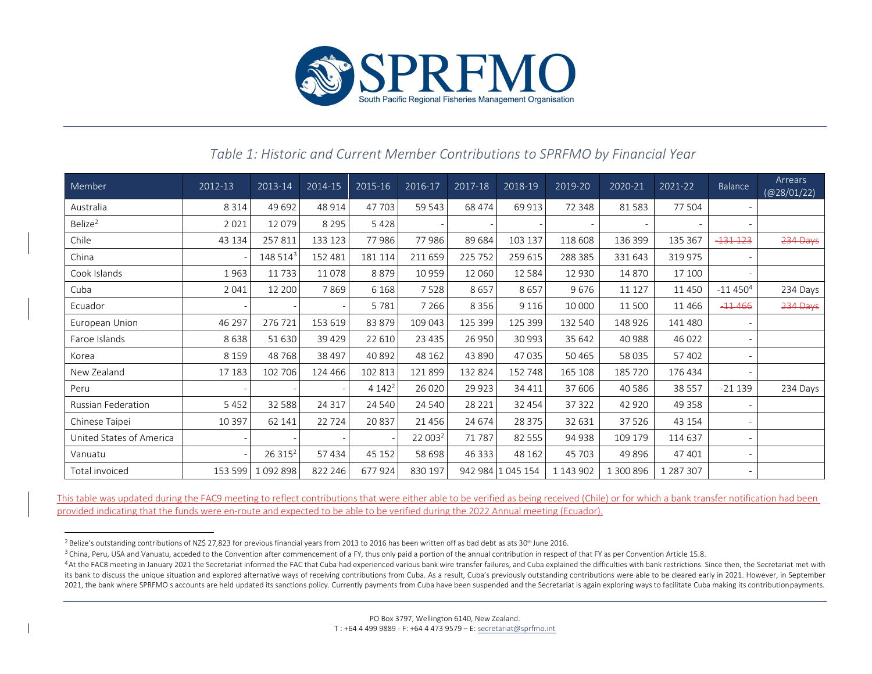

### *Table 1: Historic and Current Member Contributions to SPRFMO by Financial Year*

| Member                    | 2012-13 | 2013-14              | 2014-15  | 2015-16  | 2016-17             | 2017-18  | 2018-19           | 2019-20   | 2020-21   | 2021-22   | Balance      | Arrears<br>(Q28/01/22) |
|---------------------------|---------|----------------------|----------|----------|---------------------|----------|-------------------|-----------|-----------|-----------|--------------|------------------------|
| Australia                 | 8 3 1 4 | 49 692               | 48 914   | 47 703   | 59 543              | 68 474   | 69 913            | 72 348    | 81583     | 77 504    |              |                        |
| Belize <sup>2</sup>       | 2 0 2 1 | 12079                | 8 2 9 5  | 5428     |                     |          |                   |           |           |           |              |                        |
| Chile                     | 43 134  | 257811               | 133 123  | 77986    | 77986               | 89 684   | 103 137           | 118 608   | 136 399   | 135 367   | $-131 - 123$ | 234 Days               |
| China                     |         | 148 514 <sup>3</sup> | 152 481  | 181 114  | 211 659             | 225 752  | 259 615           | 288 385   | 331 643   | 319 975   |              |                        |
| Cook Islands              | 1963    | 11733                | 11078    | 8879     | 10959               | 12 060   | 12584             | 12930     | 14 870    | 17 100    |              |                        |
| Cuba                      | 2 0 4 1 | 12 200               | 7869     | 6 1 6 8  | 7528                | 8657     | 8657              | 9676      | 11 127    | 11 4 5 0  | $-114504$    | 234 Days               |
| Ecuador                   |         |                      |          | 5781     | 7 2 6 6             | 8 3 5 6  | 9 1 1 6           | 10 000    | 11 500    | 11 4 6 6  | $-11466$     | 234 Days               |
| European Union            | 46 297  | 276 721              | 153 619  | 83 879   | 109 043             | 125 399  | 125 399           | 132 540   | 148 926   | 141 480   |              |                        |
| Faroe Islands             | 8638    | 51 630               | 39 4 29  | 22 6 10  | 23 4 35             | 26 950   | 30 993            | 35 642    | 40 988    | 46 0 22   |              |                        |
| Korea                     | 8 1 5 9 | 48768                | 38 497   | 40 892   | 48 162              | 43 8 90  | 47035             | 50465     | 58 035    | 57402     |              |                        |
| New Zealand               | 17 183  | 102 706              | 124 466  | 102 813  | 121 899             | 132 824  | 152 748           | 165 108   | 185 720   | 176 434   |              |                        |
| Peru                      |         |                      |          | $4142^2$ | 26 0 20             | 29 9 23  | 34 411            | 37 606    | 40 5 86   | 38 5 5 7  | $-21139$     | 234 Days               |
| <b>Russian Federation</b> | 5452    | 32 5 8 8             | 24 3 1 7 | 24 540   | 24 540              | 28 2 2 1 | 32 454            | 37322     | 42 920    | 49 3 5 8  |              |                        |
| Chinese Taipei            | 10 397  | 62 141               | 22724    | 20837    | 21456               | 24 674   | 28 3 7 5          | 32 631    | 37 526    | 43 154    |              |                        |
| United States of America  |         |                      |          |          | 22 003 <sup>2</sup> | 71 787   | 82 5 5 5          | 94 938    | 109 179   | 114 637   |              |                        |
| Vanuatu                   |         | 26 315 <sup>2</sup>  | 57 434   | 45 152   | 58 698              | 46 333   | 48 162            | 45 703    | 49 896    | 47 401    |              |                        |
| Total invoiced            | 153 599 | 1092898              | 822 246  | 677924   | 830 197             |          | 942 984 1 045 154 | 1 143 902 | 1 300 896 | 1 287 307 |              |                        |

This table was updated during the FAC9 meeting to reflect contributions that were either able to be verified as being received (Chile) or for which <sup>a</sup> bank transfer notification had been provided indicating that the funds were en-route and expected to be able to be verified during the 2022 Annual meeting (Ecuador).

<sup>&</sup>lt;sup>2</sup> Belize's outstanding contributions of NZ\$ 27,823 for previous financial years from 2013 to 2016 has been written off as bad debt as ats 30<sup>th</sup> June 2016.

 $3$  China, Peru, USA and Vanuatu, acceded to the Convention after commencement of a FY, thus only paid a portion of the annual contribution in respect of that FY as per Convention Article 15.8.

<sup>&</sup>lt;sup>4</sup>At the FAC8 meeting in January 2021 the Secretariat informed the FAC that Cuba had experienced various bank wire transfer failures, and Cuba explained the difficulties with bank restrictions. Since then, the Secretariat its bank to discuss the unique situation and explored alternative ways of receiving contributions from Cuba. As a result, Cuba's previously outstanding contributions were able to be cleared early in 2021. However, in Septe 2021, the bank where SPRFMO s accounts are held updated its sanctions policy. Currently payments from Cuba have been suspended and the Secretariat is again exploring ways to facilitate Cuba making its contribution payments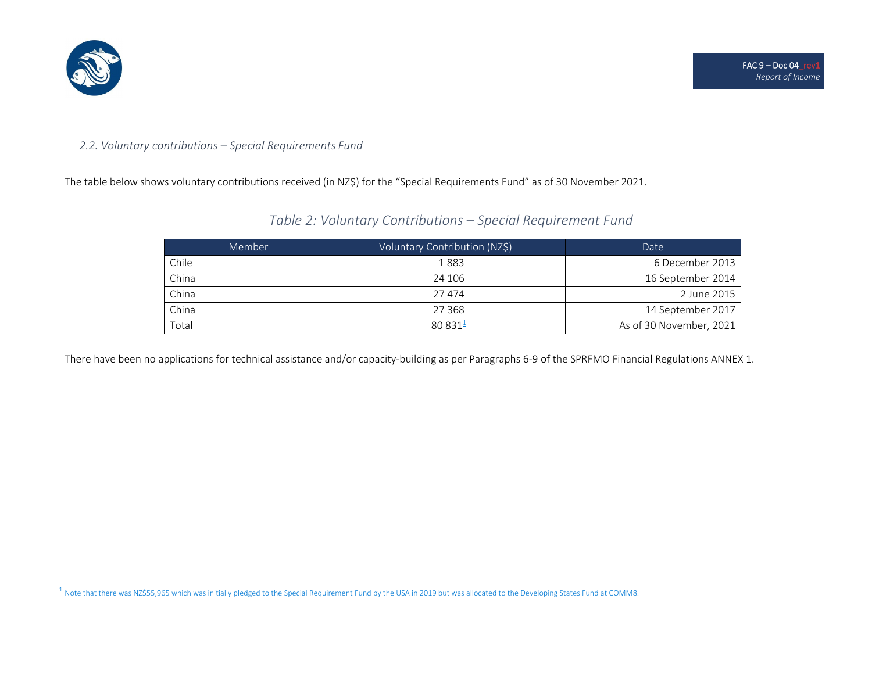

#### *2.2. Voluntary contributions – Special Requirements Fund*

The table below shows voluntary contributions received (in NZ\$) for the "Special Requirements Fund" as of 30 November 2021.

### *Table 2: Voluntary Contributions – Special Requirement Fund*

| Member | Voluntary Contribution (NZ\$) | Date                    |
|--------|-------------------------------|-------------------------|
| Chile  | 1883                          | 6 December 2013         |
| China  | 24 106                        | 16 September 2014       |
| China  | 27 474                        | 2 June 2015             |
| China  | 27 3 68                       | 14 September 2017       |
| Total  | 80.831 <sup>1</sup>           | As of 30 November, 2021 |

There have been no applications for technical assistance and/or capacity‐building as per Paragraphs 6‐9 of the SPRFMO Financial Regulations ANNEX 1.

 $^1$  Note that there was NZ\$55,965 which was initially pledged to the Special Requirement Fund by the USA in 2019 but was allocated to the Developing States Fund at COMM8.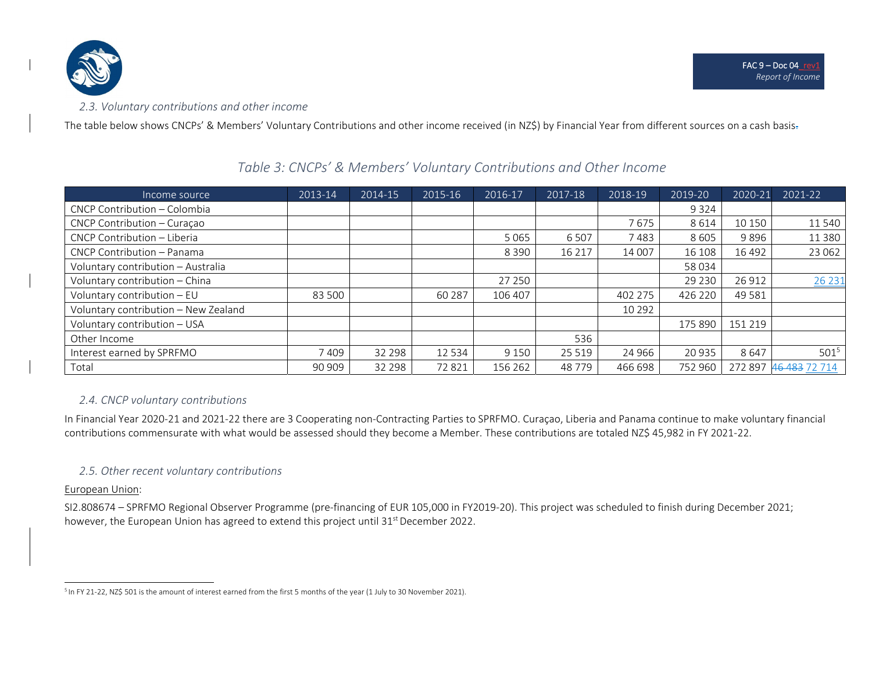

The table below shows CNCPs' & Members' Voluntary Contributions and other income received (in NZ\$) by Financial Year from different sources on <sup>a</sup> cash basis.

#### Income source 2013‐14 2014‐15 2015‐16 2016‐17 2017‐18 2018‐19 2019‐20 2020‐21 2021‐22 CNCP Contribution – Colombia 9 324 CNCP Contribution – Curaçao 7 675 8 614 10 150 11 540 CNCP Contributionn – Liberia 6605 | 11 | 1280 | 1290 | 1290 | 1290 | 1390 | 1390 | 1390 | 1390 | 1390 | 1390 | 1390 | 1390 | 13 CNCP Contribution – Panama 8 390 16 217 14 007 16 108 16 492 23 062 Voluntary contribution – Australia 58 034 Voluntary contribution – China 27 250 29 230 26 912 26 231 Voluntary contribution – EU | 83 500 | 60 287 | 106 407 | 402 275 | 426 220 | 49 581 Voluntary contribution – New Zealand (and  $\begin{array}{ccc} | & | & | & | & | \end{array}$  10 292 Voluntary contribution – USA 175 890 | 151 219 Other Income 536Interest earnedd by SPRFMO | 7 409 | 32 298 | 12 534 | 9 150 | 25 519 | 24 966 | 20 935 | 8 647 | 501<sup>5</sup> Total190 90 909 | 32 298 | 72 821 | 156 262 | 48 779 | 466 698 | 752 960 | 272 897 <del>46 483</del> 72 714

### *Table 3: CNCPs' & Members' Voluntary Contributions and Other Income*

### *2.4. CNCP voluntary contributions*

In Financial Year 2020‐21 and 2021‐22 there are 3 Cooperating non‐Contracting Parties to SPRFMO. Curaçao, Liberia and Panama continue to make voluntary financial contributions commensurate with what would be assessed should they become <sup>a</sup> Member. These contributions are totaled NZ\$ 45,982 in FY 2021‐22.

### *2.5. Other recent voluntary contributions*

### European Union:

SI2.808674 – SPRFMO Regional Observer Programme (pre‐financing of EUR 105,000 in FY2019‐20). This project was scheduled to finish during December 2021; however, the European Union has agreed to extend this project until 31<sup>st</sup> December 2022.

<sup>5</sup> In FY <sup>21</sup>‐22, NZ\$ 501 is the amount of interest earned from the first <sup>5</sup> months of the year (1 July to 30 November 2021).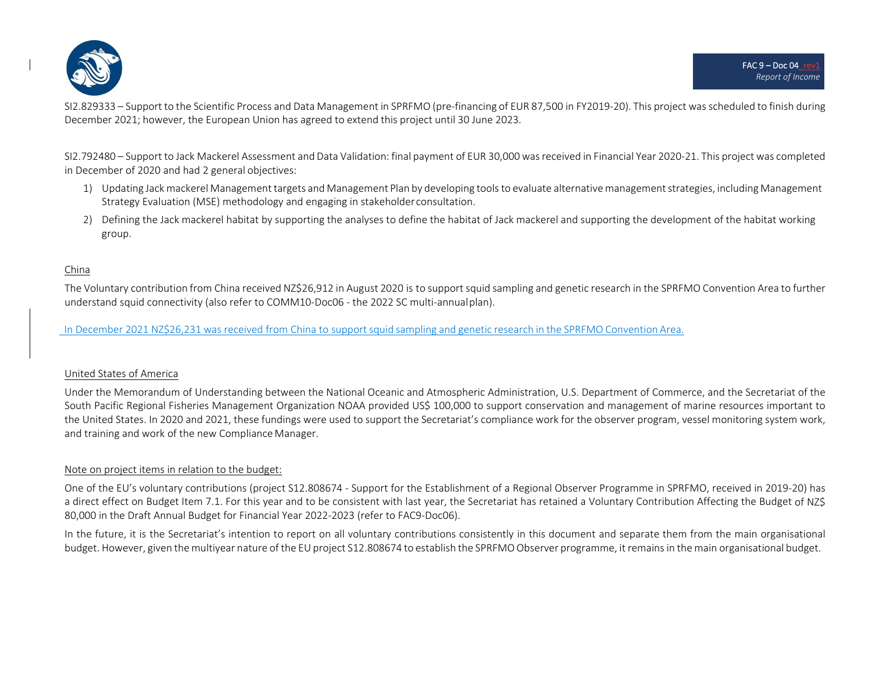

SI2.829333 – Support to the Scientific Process and Data Management in SPRFMO (pre‐financing of EUR 87,500 in FY2019‐20). This project was scheduled to finish during December 2021; however, the European Union has agreed to extend this project until 30 June 2023.

SI2.792480 – Support to Jack Mackerel Assessment and Data Validation: final payment of EUR 30,000 wasreceived in Financial Year 2020‐21. This project was completed in December of 2020 and had 2 general objectives:

- 1) Updating Jack mackerel Managementtargets and Management Plan by developing toolsto evaluate alternativemanagementstrategies, including Management Strategy Evaluation (MSE) methodology and engaging in stakeholderconsultation.
- 2) Defining the Jack mackerel habitat by supporting the analyses to define the habitat of Jack mackerel and supporting the development of the habitat working group.

#### China

The Voluntary contribution from China received NZ\$26,912 in August 2020 is to support squid sampling and genetic research in the SPRFMO Convention Area to further understand squid connectivity (also refer to COMM10‐Doc06 ‐ the 2022 SC multi‐annualplan).

In December 2021 NZ\$26,231 was received from China to supportsquid sampling and genetic research in the SPRFMO Convention Area.

### United States of America

Under the Memorandum of Understanding between the National Oceanic and Atmospheric Administration, U.S. Department of Commerce, and the Secretariat of the South Pacific Regional Fisheries Management Organization NOAA provided US\$ 100,000 to support conservation and management of marine resources important to the United States. In 2020 and 2021, these fundings were used to support the Secretariat's compliance work for the observer program, vessel monitoring system work, and training and work of the new Compliance Manager.

### Note on project items in relation to the budget:

One of the EU's voluntary contributions (project S12.808674 ‐ Support for the Establishment of <sup>a</sup> Regional Observer Programme in SPRFMO, received in 2019‐20) has a direct effect on Budget Item 7.1. For this year and to be consistent with last year, the Secretariat has retained <sup>a</sup> Voluntary Contribution Affecting the Budget of NZ\$ 80,000 in the Draft Annual Budget for Financial Year 2022‐2023 (refer to FAC9‐Doc06).

In the future, it is the Secretariat's intention to report on all voluntary contributions consistently in this document and separate them from the main organisational budget. However, given the multiyear nature of the EU project S12.808674 to establish the SPRFMO Observer programme, it remains in the main organisational budget.